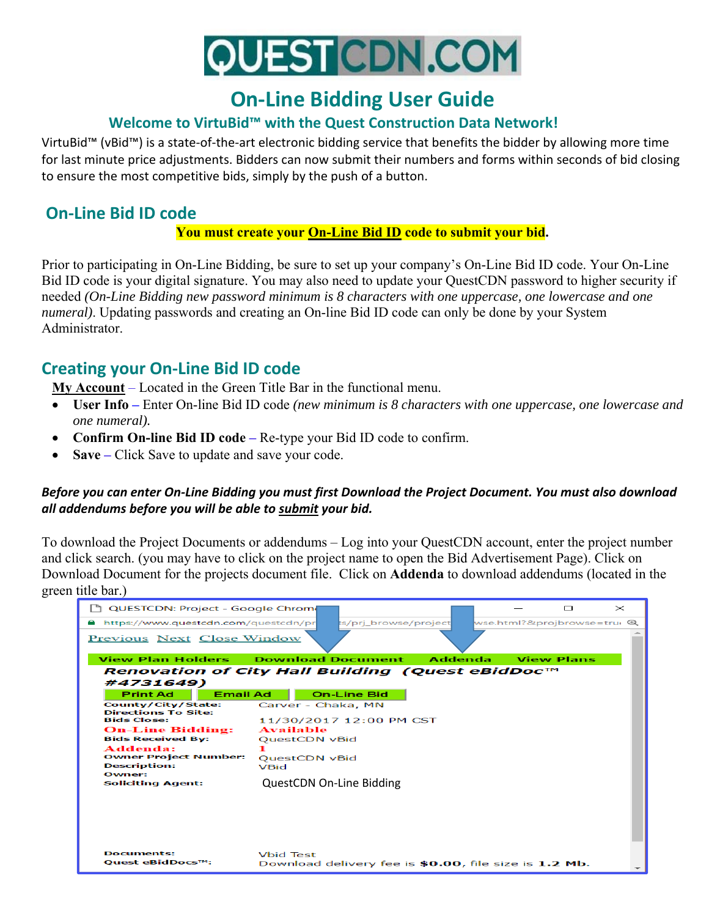

# **On‐Line Bidding User Guide**

# **Welcome to VirtuBid™ with the Quest Construction Data Network!**

VirtuBid™ (vBid™) is a state‐of‐the‐art electronic bidding service that benefits the bidder by allowing more time for last minute price adjustments. Bidders can now submit their numbers and forms within seconds of bid closing to ensure the most competitive bids, simply by the push of a button.

# **On‐Line Bid ID code**

### **You must create your On-Line Bid ID code to submit your bid.**

Prior to participating in On-Line Bidding, be sure to set up your company's On-Line Bid ID code. Your On-Line Bid ID code is your digital signature. You may also need to update your QuestCDN password to higher security if needed *(On-Line Bidding new password minimum is 8 characters with one uppercase, one lowercase and one numeral)*. Updating passwords and creating an On-line Bid ID code can only be done by your System Administrator.

# **Creating your On‐Line Bid ID code**

**My Account** – Located in the Green Title Bar in the functional menu.

- **User Info** Enter On-line Bid ID code *(new minimum is 8 characters with one uppercase, one lowercase and one numeral).*
- **Confirm On-line Bid ID code** Re-type your Bid ID code to confirm.
- **Save** Click Save to update and save your code.

### *Before you can enter On‐Line Bidding you must first Download the Project Document. You must also download all addendums before you will be able to submit your bid.*

To download the Project Documents or addendums – Log into your QuestCDN account, enter the project number and click search. (you may have to click on the project name to open the Bid Advertisement Page). Click on Download Document for the projects document file. Click on **Addenda** to download addendums (located in the green title bar.)

| QUESTCDN: Project - Google Chrom                 |                      |                                                       |         |                             | □                 | $\times$ |
|--------------------------------------------------|----------------------|-------------------------------------------------------|---------|-----------------------------|-------------------|----------|
| https://www.questcdn.com/questcdn/pr             |                      | ts/prj_browse/project                                 |         | wse.html?&projbrowse=true @ |                   |          |
| <b>Previous Next Close Window</b>                |                      |                                                       |         |                             |                   |          |
| <b>View Plan Holders</b>                         |                      | <b>Download Document</b>                              | Addenda |                             | <b>View Plans</b> |          |
| Renovation of City Hall Building (Quest eBidDoc™ |                      |                                                       |         |                             |                   |          |
| #4731649)                                        |                      |                                                       |         |                             |                   |          |
| <b>Print Ad</b><br><b>Email Ad</b>               |                      | <b>On-Line Bid</b>                                    |         |                             |                   |          |
| County/City/State:                               | Carver - Chaka, MN   |                                                       |         |                             |                   |          |
| <b>Directions To Site:</b><br><b>Bids Close:</b> |                      | 11/30/2017 12:00 PM CST                               |         |                             |                   |          |
| <b>On-Line Bidding:</b>                          | <b>Available</b>     |                                                       |         |                             |                   |          |
| <b>Bids Received By:</b>                         | QuestCDN vBid        |                                                       |         |                             |                   |          |
| Addenda:<br><b>Owner Project Number:</b>         | <b>OuestCDN vBid</b> |                                                       |         |                             |                   |          |
| <b>Description:</b>                              | VBid                 |                                                       |         |                             |                   |          |
| Owner:                                           |                      |                                                       |         |                             |                   |          |
| <b>Soliciting Agent:</b>                         |                      | QuestCDN On-Line Bidding                              |         |                             |                   |          |
|                                                  |                      |                                                       |         |                             |                   |          |
|                                                  |                      |                                                       |         |                             |                   |          |
|                                                  |                      |                                                       |         |                             |                   |          |
|                                                  |                      |                                                       |         |                             |                   |          |
| <b>Documents:</b>                                | <b>Vhid Test</b>     |                                                       |         |                             |                   |          |
| Ouest eBidDocs™:                                 |                      | Download delivery fee is \$0.00, file size is 1.2 Mb. |         |                             |                   |          |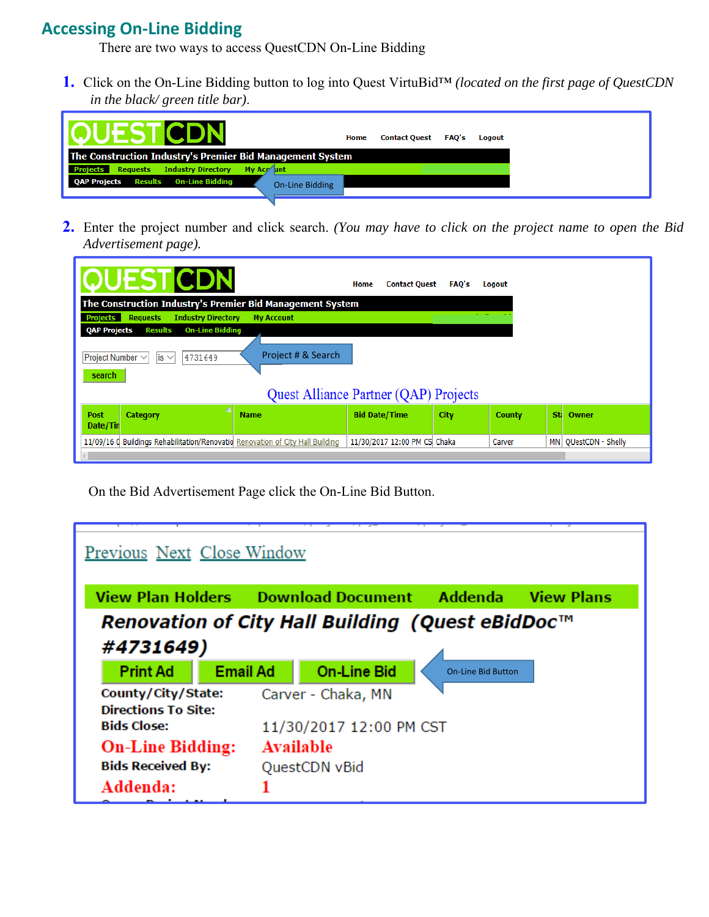# **Accessing On‐Line Bidding**

There are two ways to access QuestCDN On-Line Bidding

**1.** Click on the On-Line Bidding button to log into Quest VirtuBid™ *(located on the first page of QuestCDN in the black/ green title bar)*.

| <b>IQUEST CDN</b>                                              | Home | <b>Contact Ouest</b> | <b>FAO's</b> | Logout |
|----------------------------------------------------------------|------|----------------------|--------------|--------|
| The Construction Industry's Premier Bid Management System      |      |                      |              |        |
| Requests Industry Directory My Acc unt<br><b>Projects</b>      |      |                      |              |        |
| <b>QAP Projects Results On-Line Bidding</b><br>On-Line Bidding |      |                      |              |        |
|                                                                |      |                      |              |        |

**2.** Enter the project number and click search. *(You may have to click on the project name to open the Bid Advertisement page).*

| <b>OUEST CDN</b>                                                               |                                                             | Home                 | <b>Contact Ouest</b>         | FAQ's | Logout |    |                        |
|--------------------------------------------------------------------------------|-------------------------------------------------------------|----------------------|------------------------------|-------|--------|----|------------------------|
| The Construction Industry's Premier Bid Management System                      |                                                             |                      |                              |       |        |    |                        |
| <b>Projects</b><br><b>Industry Directory</b><br><b>Requests</b>                | <b>My Account</b>                                           |                      |                              |       |        |    |                        |
| <b>On-Line Bidding</b><br><b>Results</b><br><b>QAP Projects</b>                |                                                             |                      |                              |       |        |    |                        |
| Project Number $\vee$<br>4731649<br>is $\vee$<br>search                        | Project # & Search<br>Quest Alliance Partner (QAP) Projects |                      |                              |       |        |    |                        |
| Post<br>Category                                                               | <b>Name</b>                                                 | <b>Bid Date/Time</b> |                              | City  | County | St | Owner                  |
| Date/Tin                                                                       |                                                             |                      |                              |       |        |    |                        |
| 11/09/16 0 Buildings Rehabilitation/Renovatio Renovation of City Hall Building |                                                             |                      | 11/30/2017 12:00 PM CS Chaka |       | Carver |    | MN   QUestCDN - Shelly |
|                                                                                |                                                             |                      |                              |       |        |    |                        |

On the Bid Advertisement Page click the On-Line Bid Button.

| Previous Next Close Window                       |                 |                    |                         |                           |                   |
|--------------------------------------------------|-----------------|--------------------|-------------------------|---------------------------|-------------------|
| View Plan Holders Download Document Addenda      |                 |                    |                         |                           | <b>View Plans</b> |
| Renovation of City Hall Building (Quest eBidDoc™ |                 |                    |                         |                           |                   |
| #4731649)                                        |                 |                    |                         |                           |                   |
| <b>Print Ad</b>                                  | <b>Email Ad</b> |                    | <b>On-Line Bid</b>      | <b>On-Line Bid Button</b> |                   |
| County/City/State:                               |                 | Carver - Chaka, MN |                         |                           |                   |
| <b>Directions To Site:</b><br><b>Bids Close:</b> |                 |                    | 11/30/2017 12:00 PM CST |                           |                   |
| <b>On-Line Bidding:</b>                          |                 | Available          |                         |                           |                   |
| <b>Bids Received By:</b>                         |                 | QuestCDN vBid      |                         |                           |                   |
| Addenda:                                         |                 |                    |                         |                           |                   |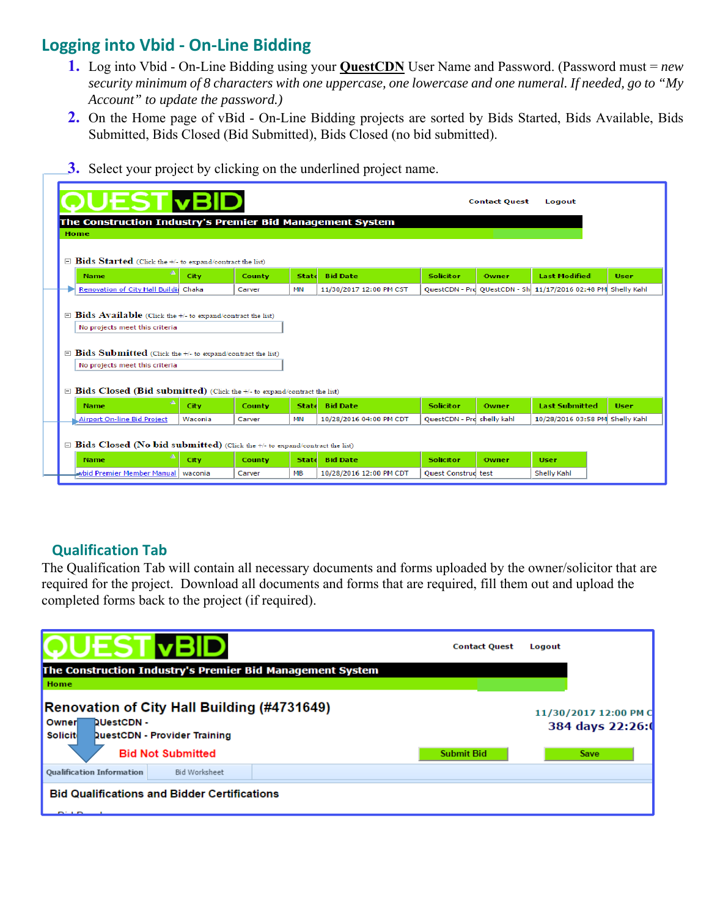# **Logging into Vbid ‐ On‐Line Bidding**

- **1.** Log into Vbid On-Line Bidding using your **QuestCDN** User Name and Password. (Password must = *new security minimum of 8 characters with one uppercase, one lowercase and one numeral. If needed, go to "My Account" to update the password.)*
- **2.** On the Home page of vBid On-Line Bidding projects are sorted by Bids Started, Bids Available, Bids Submitted, Bids Closed (Bid Submitted), Bids Closed (no bid submitted).

|      | JEST vBl                                                                          |         |        |       |                         |                            | <b>Contact Quest</b> | Logout                                           |             |
|------|-----------------------------------------------------------------------------------|---------|--------|-------|-------------------------|----------------------------|----------------------|--------------------------------------------------|-------------|
|      | The Construction Industry's Premier Bid Management System                         |         |        |       |                         |                            |                      |                                                  |             |
| Home |                                                                                   |         |        |       |                         |                            |                      |                                                  |             |
|      | $\Box$ Bids Started (Click the +/- to expand/contract the list)                   |         |        |       |                         |                            |                      |                                                  |             |
|      | <b>Name</b>                                                                       | City    | County | State | <b>Bid Date</b>         | <b>Solicitor</b>           | Owner                | <b>Last Modified</b>                             | <b>User</b> |
|      | Renovation of City Hall Buildir Chaka                                             |         | Carver | MN    | 11/30/2017 12:00 PM CST |                            |                      | OuestCDN - Prd OUestCDN - Sh 11/17/2016 02:48 PM | Shelly Kahl |
|      |                                                                                   |         |        |       |                         |                            |                      |                                                  |             |
|      | $\Box$ Bids Available (Click the +/- to expand/contract the list)                 |         |        |       |                         |                            |                      |                                                  |             |
|      | No projects meet this criteria                                                    |         |        |       |                         |                            |                      |                                                  |             |
|      |                                                                                   |         |        |       |                         |                            |                      |                                                  |             |
|      |                                                                                   |         |        |       |                         |                            |                      |                                                  |             |
|      | $\Box$ Bids Submitted (Click the +/- to expand/contract the list)                 |         |        |       |                         |                            |                      |                                                  |             |
|      | No projects meet this criteria                                                    |         |        |       |                         |                            |                      |                                                  |             |
|      |                                                                                   |         |        |       |                         |                            |                      |                                                  |             |
|      | $\Box$ Bids Closed (Bid submitted) (Click the +/- to expand/contract the list)    |         |        |       |                         |                            |                      |                                                  |             |
|      | <b>Name</b>                                                                       | City    | County | State | <b>Bid Date</b>         | <b>Solicitor</b>           | Owner                | <b>Last Submitted</b>                            | <b>User</b> |
|      | Airport On-line Bid Project                                                       | Waconia | Carver | MN    | 10/28/2016 04:00 PM CDT | QuestCDN - Prd shelly kahl |                      | 10/28/2016 03:58 PM                              | Shelly Kahl |
|      |                                                                                   |         |        |       |                         |                            |                      |                                                  |             |
|      | $\Box$ Bids Closed (No bid submitted) (Click the +/- to expand/contract the list) |         |        |       |                         |                            |                      |                                                  |             |
|      | <b>Name</b>                                                                       | City    | County | State | <b>Bid Date</b>         | <b>Solicitor</b>           | Owner                | <b>User</b>                                      |             |

**3.** Select your project by clicking on the underlined project name.

# **Qualification Tab**

The Qualification Tab will contain all necessary documents and forms uploaded by the owner/solicitor that are required for the project. Download all documents and forms that are required, fill them out and upload the completed forms back to the project (if required).

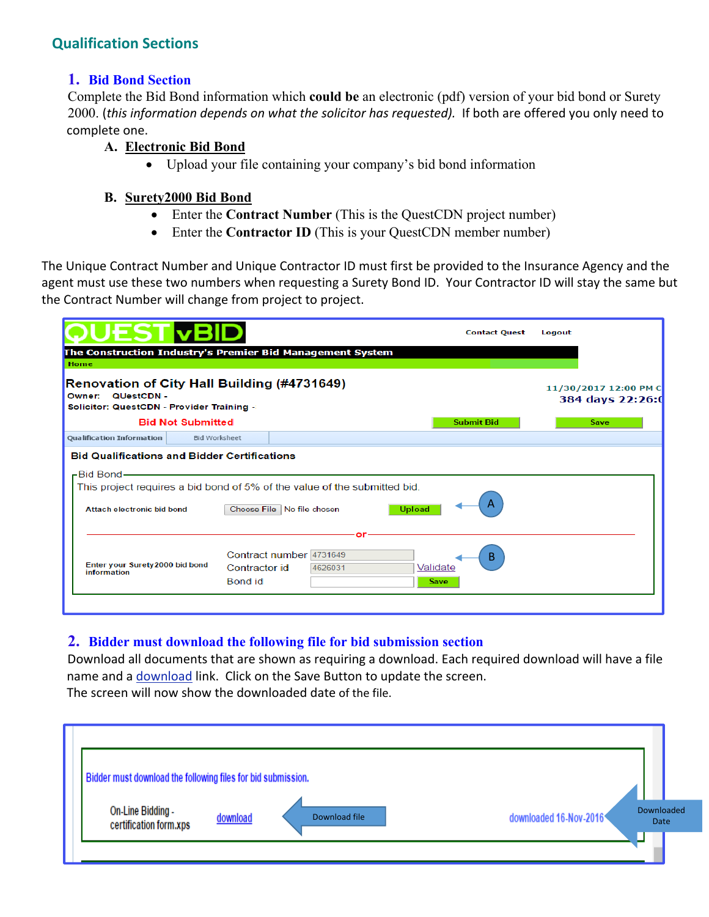# **Qualification Sections**

#### **1. Bid Bond Section**

 Complete the Bid Bond information which **could be** an electronic (pdf) version of your bid bond or Surety 2000. (*this information depends on what the solicitor has requested).* If both are offered you only need to complete one.

#### **A. Electronic Bid Bond**

Upload your file containing your company's bid bond information

#### **B. Surety2000 Bid Bond**

- Enter the **Contract Number** (This is the QuestCDN project number)
- Enter the **Contractor ID** (This is your QuestCDN member number)

The Unique Contract Number and Unique Contractor ID must first be provided to the Insurance Agency and the agent must use these two numbers when requesting a Surety Bond ID. Your Contractor ID will stay the same but the Contract Number will change from project to project.

| UESTvBl                                                                                                              |                                 | <b>Contact Quest</b>                                                                                                                  | Logout                                    |
|----------------------------------------------------------------------------------------------------------------------|---------------------------------|---------------------------------------------------------------------------------------------------------------------------------------|-------------------------------------------|
|                                                                                                                      |                                 |                                                                                                                                       |                                           |
| Home                                                                                                                 |                                 | The Construction Industry's Premier Bid Management System                                                                             |                                           |
| <b>Renovation of City Hall Building (#4731649)</b><br>Owner: QUestCDN -<br>Solicitor: QuestCDN - Provider Training - |                                 |                                                                                                                                       | 11/30/2017 12:00 PM C<br>384 days 22:26:0 |
|                                                                                                                      | <b>Bid Not Submitted</b>        | <b>Submit Bid</b>                                                                                                                     | Save                                      |
| <b>Qualification Information</b>                                                                                     | <b>Bid Worksheet</b>            |                                                                                                                                       |                                           |
| <b>Bid Qualifications and Bidder Certifications</b>                                                                  |                                 |                                                                                                                                       |                                           |
| -Bid Bond-<br>Attach electronic bid bond                                                                             |                                 | This project requires a bid bond of 5% of the value of the submitted bid.<br>A<br>Choose File   No file chosen<br><b>Upload</b><br>or |                                           |
| Enter your Surety 2000 bid bond<br>information                                                                       | Contractor id<br><b>Bond</b> id | Contract number 4731649<br>B<br>Validate<br>4626031<br><b>Save</b>                                                                    |                                           |

#### **2. Bidder must download the following file for bid submission section**

 Download all documents that are shown as requiring a download. Each required download will have a file name and a download link. Click on the Save Button to update the screen. The screen will now show the downloaded date of the file.

| Bidder must download the following files for bid submission. |          |               |                        |                    |
|--------------------------------------------------------------|----------|---------------|------------------------|--------------------|
| On-Line Bidding -<br>certification form.xps                  | download | Download file | downloaded 16-Nov-2016 | Downloaded<br>Date |
|                                                              |          |               |                        |                    |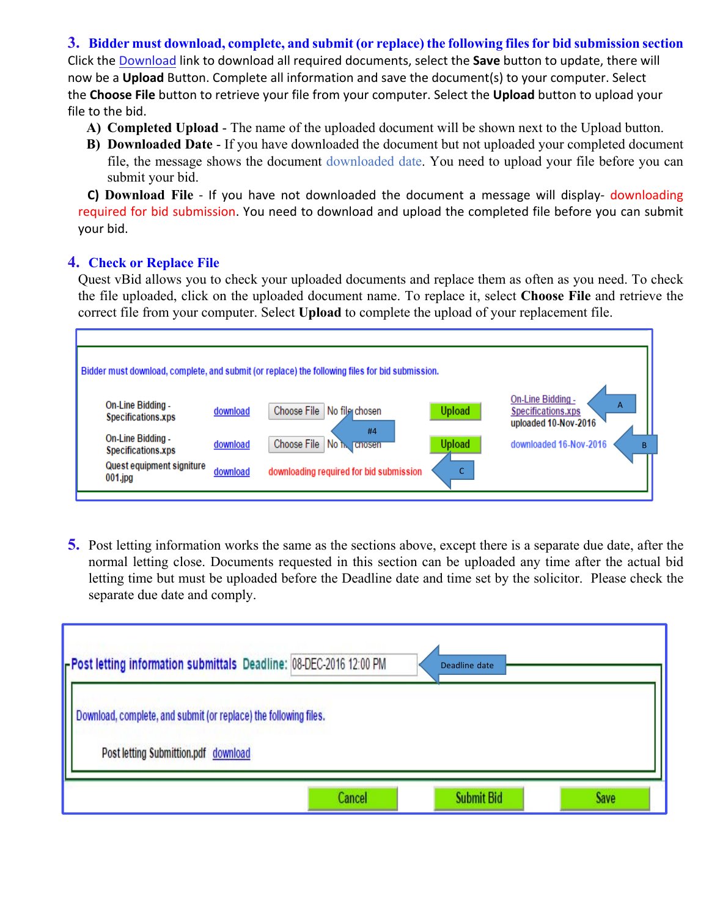**3. Bidder must download, complete, and submit (or replace) the following files for bid submission section**

Click the Download link to download all required documents, select the **Save** button to update, there will now be a **Upload** Button. Complete all information and save the document(s) to your computer. Select the **Choose File** button to retrieve your file from your computer. Select the **Upload** button to upload your file to the bid.

- **A) Completed Upload** The name of the uploaded document will be shown next to the Upload button.
- **B) Downloaded Date** If you have downloaded the document but not uploaded your completed document file, the message shows the document downloaded date. You need to upload your file before you can submit your bid.

**C) Download File** ‐ If you have not downloaded the document a message will display‐ downloading required for bid submission. You need to download and upload the completed file before you can submit your bid.

#### **4. Check or Replace File**

Quest vBid allows you to check your uploaded documents and replace them as often as you need. To check the file uploaded, click on the uploaded document name. To replace it, select **Choose File** and retrieve the correct file from your computer. Select **Upload** to complete the upload of your replacement file.

|                                                              |                      | Bidder must download, complete, and submit (or replace) the following files for bid submission. |                                |                                                                                                             |
|--------------------------------------------------------------|----------------------|-------------------------------------------------------------------------------------------------|--------------------------------|-------------------------------------------------------------------------------------------------------------|
| On-Line Bidding -<br>Specifications.xps<br>On-Line Bidding - | download<br>download | Choose File   No file chosen<br>#4<br>Choose File<br>No <b>h</b> <sub>c</sub> rosen             | <b>Upload</b><br><b>Upload</b> | On-Line Bidding -<br>$\overline{A}$<br>Specifications.xps<br>uploaded 10-Nov-2016<br>downloaded 16-Nov-2016 |
| Specifications.xps                                           |                      |                                                                                                 |                                |                                                                                                             |
| Quest equipment signiture<br>001.jpg                         | download             | downloading required for bid submission                                                         |                                |                                                                                                             |

**5.** Post letting information works the same as the sections above, except there is a separate due date, after the normal letting close. Documents requested in this section can be uploaded any time after the actual bid letting time but must be uploaded before the Deadline date and time set by the solicitor. Please check the separate due date and comply.

| Post letting information submittals Deadline: 08-DEC-2016 12:00 PM | Deadline date     |      |
|--------------------------------------------------------------------|-------------------|------|
| Download, complete, and submit (or replace) the following files.   |                   |      |
| Post letting Submittion.pdf download                               |                   |      |
| Cancel                                                             | <b>Submit Bid</b> | Save |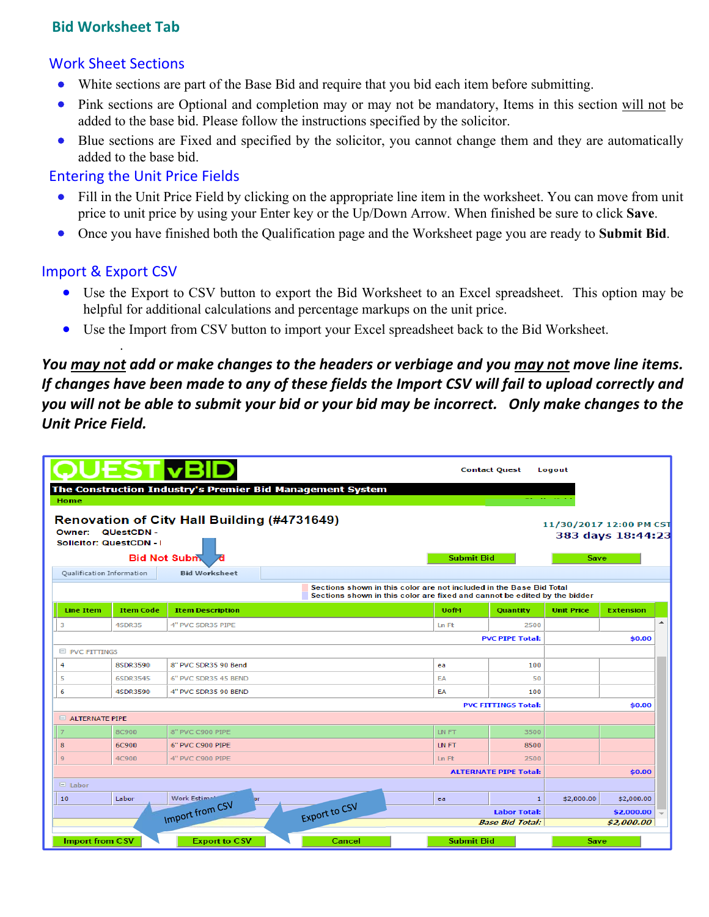# **Bid Worksheet Tab**

# Work Sheet Sections

- White sections are part of the Base Bid and require that you bid each item before submitting.
- Pink sections are Optional and completion may or may not be mandatory, Items in this section will not be added to the base bid. Please follow the instructions specified by the solicitor.
- Blue sections are Fixed and specified by the solicitor, you cannot change them and they are automatically added to the base bid.

### Entering the Unit Price Fields

- Fill in the Unit Price Field by clicking on the appropriate line item in the worksheet. You can move from unit price to unit price by using your Enter key or the Up/Down Arrow. When finished be sure to click **Save**.
- Once you have finished both the Qualification page and the Worksheet page you are ready to **Submit Bid**.

### Import & Export CSV

.

- Use the Export to CSV button to export the Bid Worksheet to an Excel spreadsheet. This option may be helpful for additional calculations and percentage markups on the unit price.
- Use the Import from CSV button to import your Excel spreadsheet back to the Bid Worksheet.

# *You may not add or make changes to the headers or verbiage and you may not move line items. If changes have been made to any of these fields the Import CSV will fail to upload correctly and you will not be able to submit your bid or your bid may be incorrect. Only make changes to the Unit Price Field.*

| Home                      | UEST                                              |                                                                    | The Construction Industry's Premier Bid Management System                                                                                        |                   | <b>Contact Quest</b>         | Logout<br><b>Contract Contract</b> |                                              |
|---------------------------|---------------------------------------------------|--------------------------------------------------------------------|--------------------------------------------------------------------------------------------------------------------------------------------------|-------------------|------------------------------|------------------------------------|----------------------------------------------|
|                           | Owner: QUestCDN -<br><b>Solicitor: QuestCDN -</b> | Renovation of City Hall Building (#4731649)<br><b>Bid Not Subm</b> |                                                                                                                                                  | <b>Submit Bid</b> |                              | Save                               | 11/30/2017 12:00 PM CST<br>383 days 18:44:23 |
| Qualification Information |                                                   | <b>Bid Worksheet</b>                                               | Sections shown in this color are not included in the Base Bid Total<br>Sections shown in this color are fixed and cannot be edited by the bidder |                   |                              |                                    |                                              |
| <b>Line Item</b>          | <b>Item Code</b>                                  | <b>Item Description</b>                                            |                                                                                                                                                  | <b>UofM</b>       | Quantity                     | <b>Unit Price</b>                  | <b>Extension</b>                             |
| 3                         | 4SDR35                                            | 4" PVC SDR35 PIPE                                                  |                                                                                                                                                  | Ln Ft             | 2500                         |                                    |                                              |
|                           |                                                   |                                                                    |                                                                                                                                                  |                   | <b>PVC PIPE Total:</b>       |                                    | \$0.00                                       |
| <b>E PVC FITTINGS</b>     |                                                   |                                                                    |                                                                                                                                                  |                   |                              |                                    |                                              |
| 4                         | 8SDR3590                                          | 8" PVC SDR35 90 Bend                                               |                                                                                                                                                  | ea                | 100                          |                                    |                                              |
| 5                         | 6SDR3545                                          | 6" PVC SDR35 45 BEND                                               |                                                                                                                                                  | EA                | 50                           |                                    |                                              |
| 6                         | 4SDR3590                                          | 4" PVC SDR35 90 BEND                                               |                                                                                                                                                  | EA                | 100                          |                                    |                                              |
|                           |                                                   |                                                                    |                                                                                                                                                  |                   | <b>PVC FITTINGS Total:</b>   |                                    | \$0.00                                       |
| $\Box$ ALTERNATE PIPE     |                                                   |                                                                    |                                                                                                                                                  |                   |                              |                                    |                                              |
|                           | <b>8C900</b>                                      | 8" PVC C900 PIPE                                                   |                                                                                                                                                  | LN FT             | 3500                         |                                    |                                              |
| 8                         | 6C900                                             | 6" PVC C900 PIPE                                                   |                                                                                                                                                  | LN FT             | 8500                         |                                    |                                              |
| 9                         | <b>4C900</b>                                      | 4" PVC C900 PIPE                                                   |                                                                                                                                                  | Ln Ft             | 2500                         |                                    |                                              |
|                           |                                                   |                                                                    |                                                                                                                                                  |                   | <b>ALTERNATE PIPE Total:</b> |                                    | \$0.00                                       |
| $\Box$ Labor              |                                                   |                                                                    |                                                                                                                                                  |                   |                              |                                    |                                              |
| 10                        | Labor                                             | Work Estimat<br><b>lor</b><br>Import from CSV                      | Export to CSV                                                                                                                                    | ea                | $\mathbf{1}$                 | \$2,000.00                         | \$2,000.00                                   |
|                           |                                                   |                                                                    |                                                                                                                                                  |                   | <b>Labor Total:</b>          |                                    | \$2,000.00                                   |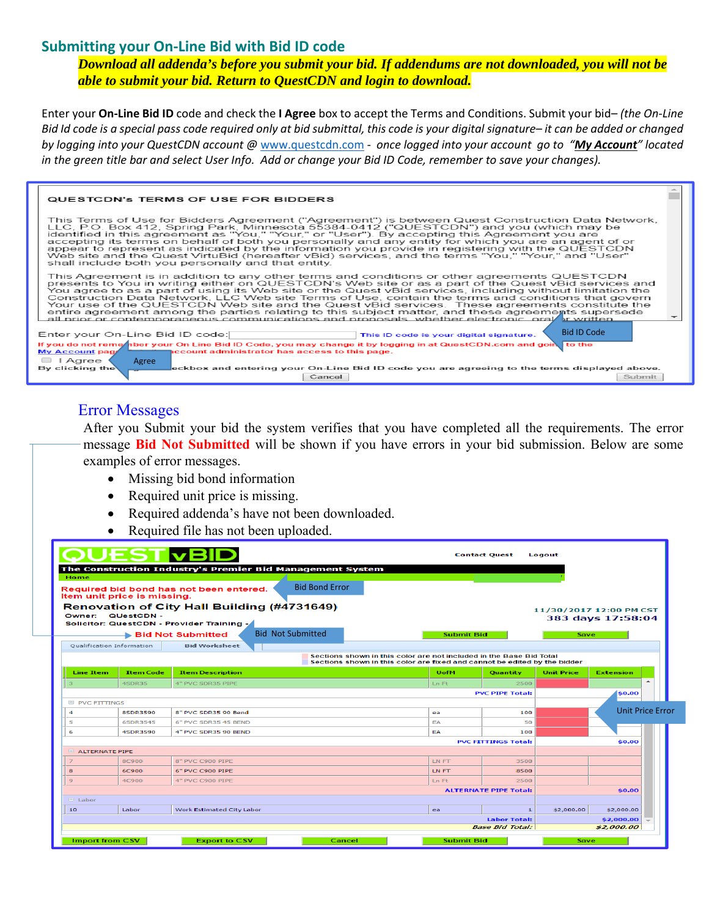#### **Submitting your On‐Line Bid with Bid ID code**

*Download all addenda's before you submit your bid. If addendums are not downloaded, you will not be able to submit your bid. Return to QuestCDN and login to download.* 

Enter your **On‐Line Bid ID** code and check the **I Agree** box to accept the Terms and Conditions. Submit your bid*– (the On‐Line Bid Id code is a special pass code required only at bid submittal, this code is your digital signature– it can be added or changed by logging into your QuestCDN account @* www.questcdn.com *‐ once logged into your account go to "My Account" located in the green title bar and select User Info. Add or change your Bid ID Code, remember to save your changes).* 

| <b>QUESTCDN's TERMS OF USE FOR BIDDERS</b>                                                                                                                                                                                                                                                                                                                                                                                                                                                                                                                                                                                                                                                                                        |  |
|-----------------------------------------------------------------------------------------------------------------------------------------------------------------------------------------------------------------------------------------------------------------------------------------------------------------------------------------------------------------------------------------------------------------------------------------------------------------------------------------------------------------------------------------------------------------------------------------------------------------------------------------------------------------------------------------------------------------------------------|--|
| This Terms of Use for Bidders Agreement ("Agreement") is between Quest Construction Data Network,<br>LLC, P.O. Box 412, Spring Park, Minnesota 55384-0412 ("QUESTCDN") and you (which may be<br>identified in this agreement as "You," "Your," or "User"). By accepting this Agreement you are<br>accepting its terms on behalf of both you personally and any entity for which you are an agent of or<br>appear to represent as indicated by the information you provide in registering with the QUESTCDN<br>Web site and the Quest VirtuBid (hereafter vBid) services, and the terms "You," "Your," and "User"<br>shall include both you personally and that entity.                                                            |  |
| This Agreement is in addition to any other terms and conditions or other agreements QUESTCDN<br>presents to You in writing either on QUESTCDN's Web site or as a part of the Quest vBid services and<br>You agree to as a part of using its Web site or the Quest vBid services, including without limitation the<br>Construction Data Network, LLC Web site Terms of Use, contain the terms and conditions that govern<br>Your use of the QUESTCDN Web site and the Quest vBid services. These agreements constitute the<br>entire agreement among the parties relating to this subject matter, and these agreements supersede<br>all prior or contemporaneous communications and proposals, whether electronic, oral or written |  |
| Bid ID Code<br>Enter your On-Line Bid ID code:<br>This ID code is your digital signature.                                                                                                                                                                                                                                                                                                                                                                                                                                                                                                                                                                                                                                         |  |
| If you do not reme/nber your On Line Bid ID Code, you may change it by logging in at QuestCDN.com and goin<br>to the                                                                                                                                                                                                                                                                                                                                                                                                                                                                                                                                                                                                              |  |
| pecount administrator has access to this page.<br>My Account page<br>I Agree<br>$\Box$<br>Agree<br>By clicking the<br>eckbox and entering your On-Line Bid ID code you are agreeing to the terms displayed above.                                                                                                                                                                                                                                                                                                                                                                                                                                                                                                                 |  |
| Cancel<br>Submit                                                                                                                                                                                                                                                                                                                                                                                                                                                                                                                                                                                                                                                                                                                  |  |

# Error Messages

After you Submit your bid the system verifies that you have completed all the requirements. The error message **Bid Not Submitted** will be shown if you have errors in your bid submission. Below are some examples of error messages.

- Missing bid bond information
- Required unit price is missing.
- Required addenda's have not been downloaded.
- Required file has not been uploaded.

|                           |                             |                                           | The Construction Industry's Premier Bid Management System |                                                                                                                                                  |                              |                   |                                              |                          |
|---------------------------|-----------------------------|-------------------------------------------|-----------------------------------------------------------|--------------------------------------------------------------------------------------------------------------------------------------------------|------------------------------|-------------------|----------------------------------------------|--------------------------|
| Home                      | Item unit price is missing. | Required bid bond has not been entered.   | <b>Bid Bond Error</b>                                     |                                                                                                                                                  |                              |                   |                                              |                          |
|                           | Owner: QUestCDN -           | Solicitor: QuestCDN - Provider Training - | <b>Renovation of City Hall Building (#4731649)</b>        |                                                                                                                                                  |                              |                   | 11/30/2017 12:00 PM CST<br>383 days 17:58:04 |                          |
|                           |                             | <b>Bid Not Submitted</b>                  | <b>Bid Not Submitted</b>                                  | <b>Submit Bid</b>                                                                                                                                |                              | Save              |                                              |                          |
| Qualification Information |                             | <b>Bid Worksheet</b>                      |                                                           |                                                                                                                                                  |                              |                   |                                              |                          |
|                           |                             |                                           |                                                           | Sections shown in this color are not included in the Base Bid Total<br>Sections shown in this color are fixed and cannot be edited by the bidder |                              |                   |                                              |                          |
| <b>Line Item</b>          | <b>Item Code</b>            | <b>Item Description</b>                   |                                                           | <b>UofM</b>                                                                                                                                      | Quantity                     | <b>Unit Price</b> | <b>Extension</b>                             |                          |
| ∍                         | 4SDR35                      | 4" PVC SDR35 PIPE                         |                                                           | Ln Ft                                                                                                                                            | 2500                         |                   |                                              | $\overline{\phantom{a}}$ |
|                           |                             |                                           |                                                           |                                                                                                                                                  | <b>PVC PIPE Total:</b>       |                   | \$0.00                                       |                          |
| <b>E PVC FITTINGS</b>     |                             |                                           |                                                           |                                                                                                                                                  |                              |                   |                                              |                          |
| 4                         | 8SDR3590                    | 8" PVC SDR35 90 Bend                      |                                                           | ea                                                                                                                                               | 100                          |                   | <b>Unit Price Error</b>                      |                          |
| 5                         | 6SDR3545                    | 6" PVC SDR35 45 BEND                      |                                                           | EA                                                                                                                                               | 50                           |                   |                                              |                          |
| 6                         | 4SDR3590                    | 4" PVC SDR35 90 BEND                      |                                                           | EA                                                                                                                                               | 100                          |                   |                                              |                          |
|                           |                             |                                           |                                                           |                                                                                                                                                  | <b>PVC FITTINGS Total:</b>   |                   | \$0.00                                       |                          |
| <b>EL ALTERNATE PIPE</b>  |                             |                                           |                                                           |                                                                                                                                                  |                              |                   |                                              |                          |
| $\overline{z}$            | 8C900                       | 8" PVC C900 PIPE                          |                                                           | LN FT                                                                                                                                            | 3500                         |                   |                                              |                          |
| 8                         | <b>6C900</b>                | 6" PVC C900 PIPE                          |                                                           | LN FT                                                                                                                                            | 8500                         |                   |                                              |                          |
| $\mathbf{9}$              | <b>4C900</b>                | 4" PVC C900 PIPE                          |                                                           | Ln Ft                                                                                                                                            | 2500                         |                   |                                              |                          |
|                           |                             |                                           |                                                           |                                                                                                                                                  | <b>ALTERNATE PIPE Total:</b> |                   | \$0.00                                       |                          |
|                           |                             |                                           |                                                           |                                                                                                                                                  |                              |                   |                                              |                          |
|                           | Labor                       | <b>Work Estimated City Labor</b>          |                                                           | ea                                                                                                                                               | $\mathbf{1}$                 | \$2,000.00        | \$2,000.00                                   |                          |
| $\Box$ Labor<br>10        |                             |                                           |                                                           |                                                                                                                                                  | <b>Labor Total:</b>          |                   | \$2,000.00                                   |                          |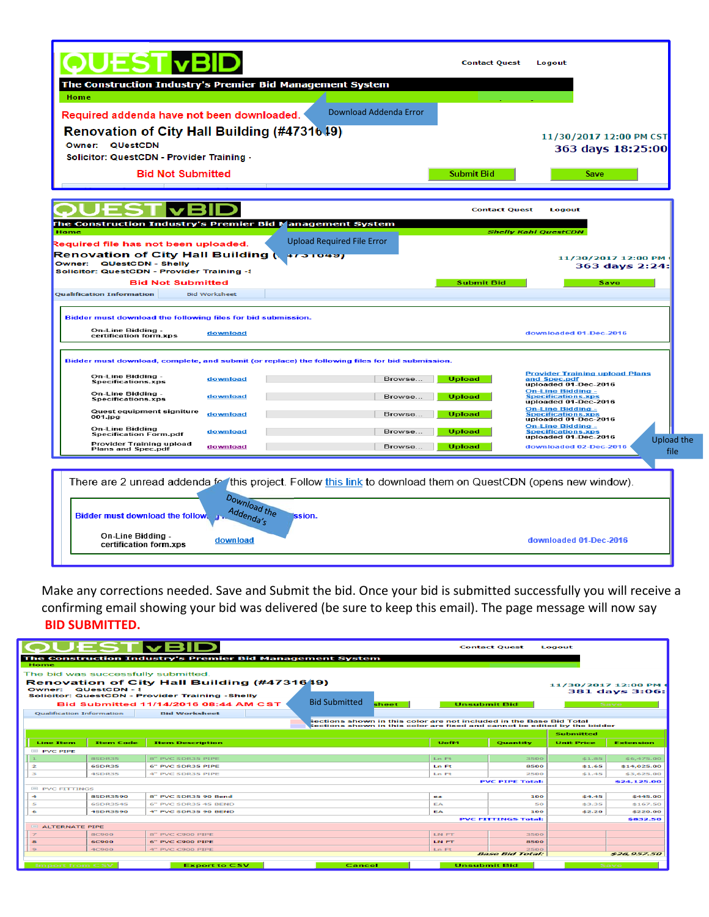|                                                                                     |                                                                          |                                                                                                                | <b>Contact Quest</b>        | Logout                                                                               |
|-------------------------------------------------------------------------------------|--------------------------------------------------------------------------|----------------------------------------------------------------------------------------------------------------|-----------------------------|--------------------------------------------------------------------------------------|
| Home                                                                                | The Construction Industry's Premier Bid Management System                |                                                                                                                |                             |                                                                                      |
|                                                                                     | Required addenda have not been downloaded.                               | Download Addenda Error                                                                                         |                             |                                                                                      |
| <b>Owner: QUestCDN</b><br>Solicitor: QuestCDN - Provider Training -                 | Renovation of City Hall Building (#4731649)                              |                                                                                                                |                             | 11/30/2017 12:00 PM CST<br>363 days 18:25:00                                         |
|                                                                                     | <b>Bid Not Submitted</b>                                                 | Submit Bid                                                                                                     |                             | Save                                                                                 |
|                                                                                     |                                                                          |                                                                                                                | <b>Contact Quest</b>        | Logout                                                                               |
| Home                                                                                | The Construction Industry's Premier Bid Management System                |                                                                                                                | <b>Shelly Kahl QuestCDN</b> |                                                                                      |
| Required file has not been uploaded.<br>Owner: QUestCDN - Shelly                    | Renovation of City Hall Building (प्रमाण्यका                             | <b>Upload Required File Error</b>                                                                              |                             | 11/30/2017 12:00 PM<br>363 days 2:24:                                                |
| Solicitor: QuestCDN - Provider Training -!                                          |                                                                          |                                                                                                                |                             |                                                                                      |
| <b>Bid Not Submitted</b>                                                            |                                                                          |                                                                                                                | <b>Submit Bid</b>           | Save                                                                                 |
|                                                                                     | <b>Bid Worksheet</b>                                                     |                                                                                                                |                             |                                                                                      |
| On-Line Bidding -                                                                   | Bidder must download the following files for bid submission.<br>download |                                                                                                                |                             | downloaded 01-Dec-2016                                                               |
| certification form.xps                                                              |                                                                          | Bidder must download, complete, and submit (or replace) the following files for bid submission.                |                             |                                                                                      |
| On-Line Bidding -<br>Specifications.xps                                             | download                                                                 | Browse.<br><b>Upload</b>                                                                                       |                             | <b>Provider Training upload Plans</b><br>and Spec.pdf<br>uploaded 01-Dec-2016        |
| On-Line Bidding -<br>Specifications.xps                                             | download                                                                 | Browse.<br><b>Upload</b>                                                                                       |                             | <b>On-Line Bidding -</b><br><b>Specifications.xps</b><br>uploaded 01-Dec-2016        |
| Quest equipment signiture<br>001.jpg                                                | download                                                                 | Browse<br><b>Upload</b>                                                                                        |                             | On-Line Bidding -<br><b>Specifications.xps</b><br>uploaded 01-Dec-2016               |
| <b>On-Line Bidding</b><br><b>Specification Form.pdf</b><br>Provider Training upload | download                                                                 | Browse.<br><b>Upload</b>                                                                                       |                             | On-Line Bidding -<br><b>Specifications.xps</b><br>uploaded 01-Dec-2016<br>Upload the |
| Plans and Spec.pdf                                                                  | download                                                                 | <b>Upload</b><br>Browse.                                                                                       |                             | downloaded 02-Dec-2016                                                               |
| <b>Qualification Information</b>                                                    |                                                                          | There are 2 unread addenda for this project. Follow this link to download them on QuestCDN (opens new window). |                             |                                                                                      |
| Bidder must download the follow, un-                                                | Download the<br>Addenda's<br>ission.                                     |                                                                                                                |                             |                                                                                      |

Make any corrections needed. Save and Submit the bid. Once your bid is submitted successfully you will receive a confirming email showing your bid was delivered (be sure to keep this email). The page message will now say **BID SUBMITTED.**

|                                                  | QUEST vBID<br><b>Contact Ouest</b><br>Logout                                              |                            |                                                           |                      |       |                             |                                |                                                                           |                  |  |  |  |  |  |
|--------------------------------------------------|-------------------------------------------------------------------------------------------|----------------------------|-----------------------------------------------------------|----------------------|-------|-----------------------------|--------------------------------|---------------------------------------------------------------------------|------------------|--|--|--|--|--|
|                                                  |                                                                                           |                            | The Construction Industry's Premier Bid Management System |                      |       |                             |                                |                                                                           |                  |  |  |  |  |  |
|                                                  | Home                                                                                      |                            |                                                           |                      |       |                             |                                |                                                                           |                  |  |  |  |  |  |
|                                                  | The bid was successfully submitted.<br><b>Renovation of City Hall Building (#4731649)</b> |                            |                                                           |                      |       |                             |                                |                                                                           |                  |  |  |  |  |  |
|                                                  | Owner:                                                                                    | <b>QUestCDN - 1</b>        |                                                           |                      |       |                             |                                | 11/30/2017 12:00 PM                                                       |                  |  |  |  |  |  |
| Solicitor: QuestCDN - Provider Training - Shelly |                                                                                           |                            |                                                           |                      |       |                             |                                |                                                                           | 381 days 3:06:   |  |  |  |  |  |
|                                                  | <b>Bid Submitted 11/14/2016 08:44 AM CST</b>                                              |                            |                                                           | <b>Bid Submitted</b> | sheet | <b>Unsubmit Bid</b><br>Save |                                |                                                                           |                  |  |  |  |  |  |
|                                                  | <b>Qualification Information</b>                                                          |                            | <b>Bid Worksheet</b>                                      |                      |       |                             |                                |                                                                           |                  |  |  |  |  |  |
|                                                  | Sections shown in this color are not included in the Base Bid Total                       |                            |                                                           |                      |       |                             |                                |                                                                           |                  |  |  |  |  |  |
|                                                  |                                                                                           |                            |                                                           |                      |       |                             |                                | Sections shown in this color are fixed and cannot be edited by the bidder |                  |  |  |  |  |  |
|                                                  |                                                                                           |                            |                                                           |                      |       |                             |                                | Submitted                                                                 |                  |  |  |  |  |  |
|                                                  | <b>Line Item</b>                                                                          | <b>Item Code</b>           | <b>Item Description</b>                                   |                      |       | <b>UofM</b>                 | <b>Ouantity</b>                | <b>Unit Price</b>                                                         | <b>Extension</b> |  |  |  |  |  |
|                                                  | $PVC$ PIPE                                                                                |                            |                                                           |                      |       |                             |                                |                                                                           |                  |  |  |  |  |  |
|                                                  |                                                                                           | 8SDR35                     | 8" PVC SDR35 PIPE                                         |                      |       | Ln Ft                       | 3500                           | \$1.85                                                                    | \$6,475.00       |  |  |  |  |  |
|                                                  | 2                                                                                         | 6SDR35                     | 6" PVC SDR35 PIPE                                         |                      |       | <b>Ln</b> Ft                | 8500                           | \$1.65                                                                    | \$14,025.00      |  |  |  |  |  |
|                                                  | 3                                                                                         | 4SDR35                     | 4" PVC SDR35 PIPE                                         |                      |       | <b>Ln Ft</b>                | 2500                           | \$1.45                                                                    | \$3.625.00       |  |  |  |  |  |
|                                                  |                                                                                           | <b>PVC PIPE Total:</b>     |                                                           |                      |       |                             |                                |                                                                           | \$24,125.00      |  |  |  |  |  |
|                                                  |                                                                                           | <b>E PVC FITTINGS</b>      |                                                           |                      |       |                             |                                |                                                                           |                  |  |  |  |  |  |
|                                                  | ÷                                                                                         | <b>8SDR3590</b>            | 8" PVC SDR35 90 Bend                                      |                      |       | ea                          | 100                            | \$4.45                                                                    | \$445.00         |  |  |  |  |  |
|                                                  | $\overline{\phantom{a}}$                                                                  | 6SDR3545                   | 6" PVC SDR35 45 BEND                                      |                      |       | FΔ                          | 50                             | \$3.35                                                                    | \$167.50         |  |  |  |  |  |
|                                                  | 6                                                                                         | <b>4SDR3590</b>            | 4" PVC SDR35 90 BEND                                      |                      |       | EA                          | 100                            | \$2.20                                                                    | \$220.00         |  |  |  |  |  |
|                                                  |                                                                                           | <b>PVC FITTINGS Total:</b> |                                                           |                      |       |                             |                                |                                                                           | \$832.50         |  |  |  |  |  |
|                                                  |                                                                                           | <b>E ALTERNATE PIPE</b>    |                                                           |                      |       |                             |                                |                                                                           |                  |  |  |  |  |  |
|                                                  |                                                                                           | 8C900                      | 8" PVC C900 PIPE                                          |                      |       | LN FT                       | 3500                           |                                                                           |                  |  |  |  |  |  |
|                                                  | 8                                                                                         | <b>6C900</b>               | 6" PVC C900 PIPE                                          |                      |       | LN FT                       | 8500                           |                                                                           |                  |  |  |  |  |  |
|                                                  | $\Rightarrow$                                                                             | 4C900                      | 4" PVC C900 PIPE                                          |                      |       | <b>Ln</b> Ft                | 2500<br><b>Base Bid Total:</b> |                                                                           | \$26,957.50      |  |  |  |  |  |
|                                                  |                                                                                           |                            |                                                           |                      |       |                             |                                |                                                                           |                  |  |  |  |  |  |
|                                                  | Import from CSV                                                                           |                            | <b>Export to CSV</b>                                      | Cancel               |       | <b>Unsubmit Bid</b>         |                                |                                                                           | Save             |  |  |  |  |  |